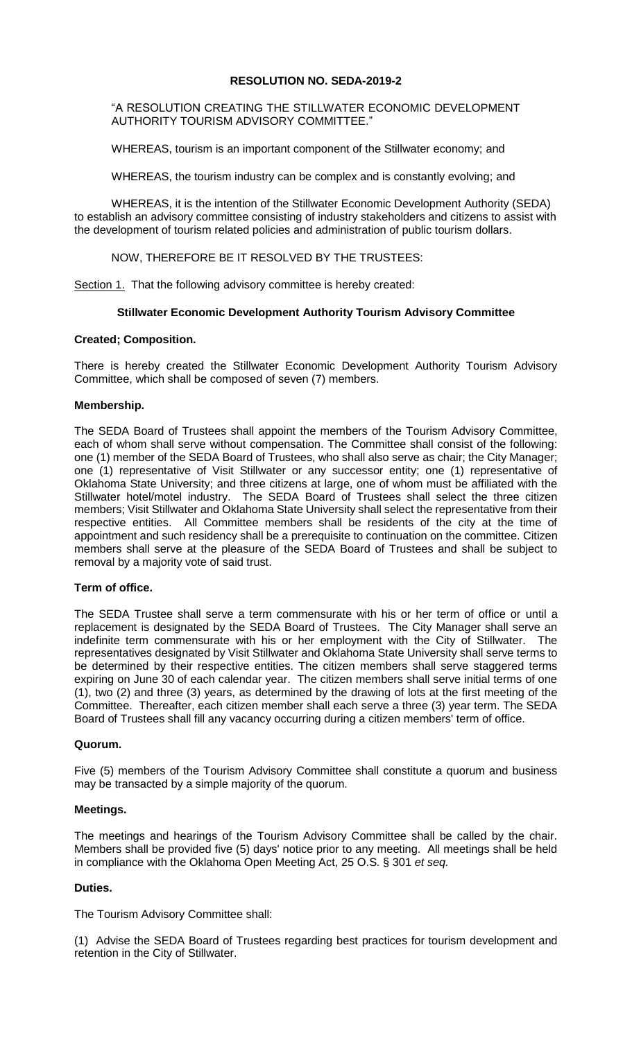# **RESOLUTION NO. SEDA-2019-2**

"A RESOLUTION CREATING THE STILLWATER ECONOMIC DEVELOPMENT AUTHORITY TOURISM ADVISORY COMMITTEE."

WHEREAS, tourism is an important component of the Stillwater economy; and

WHEREAS, the tourism industry can be complex and is constantly evolving; and

WHEREAS, it is the intention of the Stillwater Economic Development Authority (SEDA) to establish an advisory committee consisting of industry stakeholders and citizens to assist with the development of tourism related policies and administration of public tourism dollars.

NOW, THEREFORE BE IT RESOLVED BY THE TRUSTEES:

Section 1. That the following advisory committee is hereby created:

# **Stillwater Economic Development Authority Tourism Advisory Committee**

# **Created; Composition.**

There is hereby created the Stillwater Economic Development Authority Tourism Advisory Committee, which shall be composed of seven (7) members.

### **Membership.**

The SEDA Board of Trustees shall appoint the members of the Tourism Advisory Committee, each of whom shall serve without compensation. The Committee shall consist of the following: one (1) member of the SEDA Board of Trustees, who shall also serve as chair; the City Manager; one (1) representative of Visit Stillwater or any successor entity; one (1) representative of Oklahoma State University; and three citizens at large, one of whom must be affiliated with the Stillwater hotel/motel industry. The SEDA Board of Trustees shall select the three citizen members; Visit Stillwater and Oklahoma State University shall select the representative from their respective entities. All Committee members shall be residents of the city at the time of appointment and such residency shall be a prerequisite to continuation on the committee. Citizen members shall serve at the pleasure of the SEDA Board of Trustees and shall be subject to removal by a majority vote of said trust.

# **Term of office.**

The SEDA Trustee shall serve a term commensurate with his or her term of office or until a replacement is designated by the SEDA Board of Trustees. The City Manager shall serve an indefinite term commensurate with his or her employment with the City of Stillwater. The representatives designated by Visit Stillwater and Oklahoma State University shall serve terms to be determined by their respective entities. The citizen members shall serve staggered terms expiring on June 30 of each calendar year. The citizen members shall serve initial terms of one (1), two (2) and three (3) years, as determined by the drawing of lots at the first meeting of the Committee. Thereafter, each citizen member shall each serve a three (3) year term. The SEDA Board of Trustees shall fill any vacancy occurring during a citizen members' term of office.

# **Quorum.**

Five (5) members of the Tourism Advisory Committee shall constitute a quorum and business may be transacted by a simple majority of the quorum.

# **Meetings.**

The meetings and hearings of the Tourism Advisory Committee shall be called by the chair. Members shall be provided five (5) days' notice prior to any meeting. All meetings shall be held in compliance with the Oklahoma Open Meeting Act, 25 O.S. § 301 *et seq.*

# **Duties.**

The Tourism Advisory Committee shall:

(1) Advise the SEDA Board of Trustees regarding best practices for tourism development and retention in the City of Stillwater.